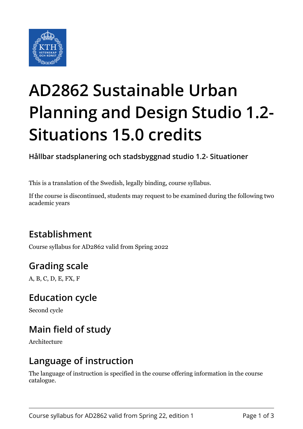

# **AD2862 Sustainable Urban Planning and Design Studio 1.2- Situations 15.0 credits**

**Hållbar stadsplanering och stadsbyggnad studio 1.2- Situationer**

This is a translation of the Swedish, legally binding, course syllabus.

If the course is discontinued, students may request to be examined during the following two academic years

## **Establishment**

Course syllabus for AD2862 valid from Spring 2022

## **Grading scale**

A, B, C, D, E, FX, F

#### **Education cycle**

Second cycle

## **Main field of study**

Architecture

#### **Language of instruction**

The language of instruction is specified in the course offering information in the course catalogue.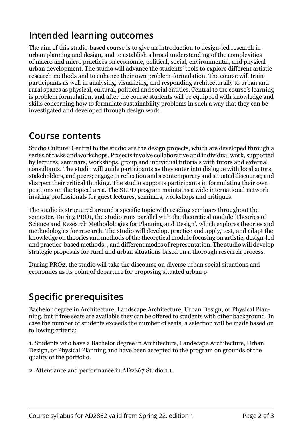## **Intended learning outcomes**

The aim of this studio-based course is to give an introduction to design-led research in urban planning and design, and to establish a broad understanding of the complexities of macro and micro practices on economic, political, social, environmental, and physical urban development. The studio will advance the students' tools to explore different artistic research methods and to enhance their own problem-formulation. The course will train participants as well in analysing, visualizing, and responding architecturally to urban and rural spaces as physical, cultural, political and social entities. Central to the course's learning is problem formulation, and after the course students will be equipped with knowledge and skills concerning how to formulate sustainability problems in such a way that they can be investigated and developed through design work.

#### **Course contents**

Studio Culture: Central to the studio are the design projects, which are developed through a series of tasks and workshops. Projects involve collaborative and individual work, supported by lectures, seminars, workshops, group and individual tutorials with tutors and external consultants. The studio will guide participants as they enter into dialogue with local actors, stakeholders, and peers; engage in reflection and a contemporary and situated discourse; and sharpen their critical thinking. The studio supports participants in formulating their own positions on the topical area. The SUPD program maintains a wide international network inviting professionals for guest lectures, seminars, workshops and critiques.

The studio is structured around a specific topic with reading seminars throughout the semester. During PRO1, the studio runs parallel with the theoretical module 'Theories of Science and Research Methodologies for Planning and Design', which explores theories and methodologies for research. The studio will develop, practice and apply, test, and adapt the knowledge on theories and methods of the theoretical module focusing on artistic, design-led and practice-based methods; , and different modes of representation. The studio will develop strategic proposals for rural and urban situations based on a thorough research process.

During PRO2, the studio will take the discourse on diverse urban social situations and economies as its point of departure for proposing situated urban p

## **Specific prerequisites**

Bachelor degree in Architecture, Landscape Architecture, Urban Design, or Physical Planning, but if free seats are available they can be offered to students with other background. In case the number of students exceeds the number of seats, a selection will be made based on following criteria:

1. Students who have a Bachelor degree in Architecture, Landscape Architecture, Urban Design, or Physical Planning and have been accepted to the program on grounds of the quality of the portfolio.

2. Attendance and performance in AD2867 Studio 1.1.